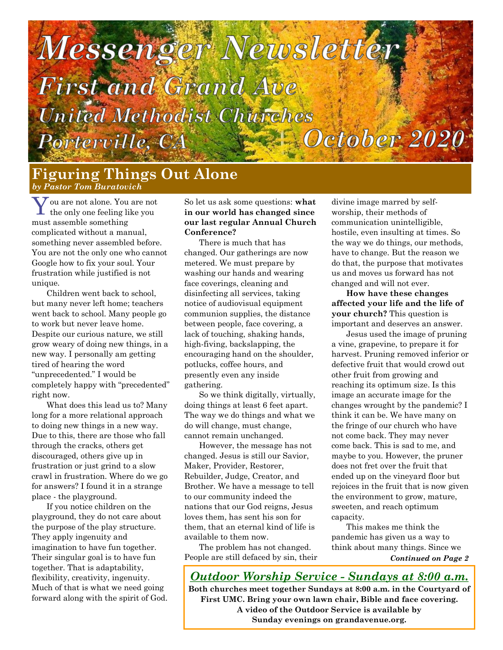# Messenger Newslette **First and Grand Ave** United Methodist Churches October 2020 Porterville, CA

**Figuring Things Out Alone** *by Pastor Tom Buratovich*

 $\mathbf Y$ ou are not alone. You are not<br>the only one feeling like you ou are not alone. You are not must assemble something complicated without a manual, something never assembled before. You are not the only one who cannot Google how to fix your soul. Your frustration while justified is not unique.

Children went back to school, but many never left home; teachers went back to school. Many people go to work but never leave home. Despite our curious nature, we still grow weary of doing new things, in a new way. I personally am getting tired of hearing the word "unprecedented." I would be completely happy with "precedented" right now.

What does this lead us to? Many long for a more relational approach to doing new things in a new way. Due to this, there are those who fall through the cracks, others get discouraged, others give up in frustration or just grind to a slow crawl in frustration. Where do we go for answers? I found it in a strange place - the playground.

If you notice children on the playground, they do not care about the purpose of the play structure. They apply ingenuity and imagination to have fun together. Their singular goal is to have fun together. That is adaptability, flexibility, creativity, ingenuity. Much of that is what we need going forward along with the spirit of God. So let us ask some questions: **what in our world has changed since our last regular Annual Church Conference?**

There is much that has changed. Our gatherings are now metered. We must prepare by washing our hands and wearing face coverings, cleaning and disinfecting all services, taking notice of audiovisual equipment communion supplies, the distance between people, face covering, a lack of touching, shaking hands, high-fiving, backslapping, the encouraging hand on the shoulder, potlucks, coffee hours, and presently even any inside gathering.

So we think digitally, virtually, doing things at least 6 feet apart. The way we do things and what we do will change, must change, cannot remain unchanged.

However, the message has not changed. Jesus is still our Savior, Maker, Provider, Restorer, Rebuilder, Judge, Creator, and Brother. We have a message to tell to our community indeed the nations that our God reigns, Jesus loves them, has sent his son for them, that an eternal kind of life is available to them now.

The problem has not changed. People are still defaced by sin, their divine image marred by selfworship, their methods of communication unintelligible, hostile, even insulting at times. So the way we do things, our methods, have to change. But the reason we do that, the purpose that motivates us and moves us forward has not changed and will not ever.

**How have these changes affected your life and the life of your church?** This question is important and deserves an answer.

Jesus used the image of pruning a vine, grapevine, to prepare it for harvest. Pruning removed inferior or defective fruit that would crowd out other fruit from growing and reaching its optimum size. Is this image an accurate image for the changes wrought by the pandemic? I think it can be. We have many on the fringe of our church who have not come back. They may never come back. This is sad to me, and maybe to you. However, the pruner does not fret over the fruit that ended up on the vineyard floor but rejoices in the fruit that is now given the environment to grow, mature, sweeten, and reach optimum capacity.

This makes me think the pandemic has given us a way to think about many things. Since we *Continued on Page 2*

*Outdoor Worship Service - Sundays at 8:00 a.m.* **Both churches meet together Sundays at 8:00 a.m. in the Courtyard of First UMC. Bring your own lawn chair, Bible and face covering. A video of the Outdoor Service is available by Sunday evenings on grandavenue.org.**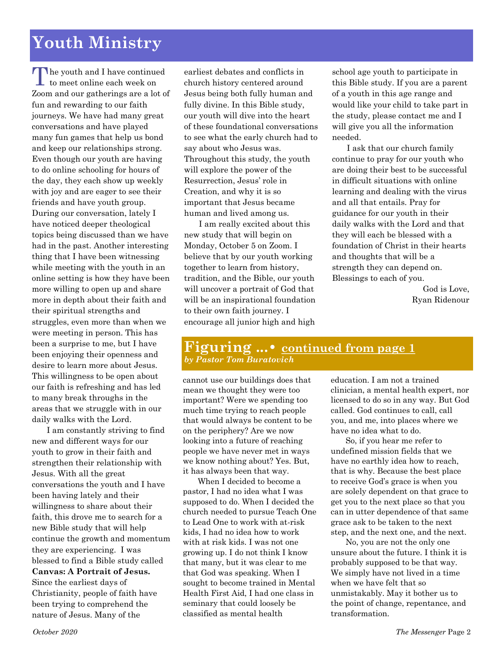# **Youth Ministry**

The youth and I have continued<br>to meet online each week on to meet online each week on Zoom and our gatherings are a lot of fun and rewarding to our faith journeys. We have had many great conversations and have played many fun games that help us bond and keep our relationships strong. Even though our youth are having to do online schooling for hours of the day, they each show up weekly with joy and are eager to see their friends and have youth group. During our conversation, lately I have noticed deeper theological topics being discussed than we have had in the past. Another interesting thing that I have been witnessing while meeting with the youth in an online setting is how they have been more willing to open up and share more in depth about their faith and their spiritual strengths and struggles, even more than when we were meeting in person. This has been a surprise to me, but I have been enjoying their openness and desire to learn more about Jesus. This willingness to be open about our faith is refreshing and has led to many break throughs in the areas that we struggle with in our daily walks with the Lord.

I am constantly striving to find new and different ways for our youth to grow in their faith and strengthen their relationship with Jesus. With all the great conversations the youth and I have been having lately and their willingness to share about their faith, this drove me to search for a new Bible study that will help continue the growth and momentum they are experiencing. I was blessed to find a Bible study called **Canvas: A Portrait of Jesus.**  Since the earliest days of Christianity, people of faith have

been trying to comprehend the nature of Jesus. Many of the

earliest debates and conflicts in church history centered around Jesus being both fully human and fully divine. In this Bible study, our youth will dive into the heart of these foundational conversations to see what the early church had to say about who Jesus was. Throughout this study, the youth will explore the power of the Resurrection, Jesus' role in Creation, and why it is so important that Jesus became human and lived among us.

I am really excited about this new study that will begin on Monday, October 5 on Zoom. I believe that by our youth working together to learn from history, tradition, and the Bible, our youth will uncover a portrait of God that will be an inspirational foundation to their own faith journey. I encourage all junior high and high school age youth to participate in this Bible study. If you are a parent of a youth in this age range and would like your child to take part in the study, please contact me and I will give you all the information needed.

I ask that our church family continue to pray for our youth who are doing their best to be successful in difficult situations with online learning and dealing with the virus and all that entails. Pray for guidance for our youth in their daily walks with the Lord and that they will each be blessed with a foundation of Christ in their hearts and thoughts that will be a strength they can depend on. Blessings to each of you.

> God is Love, Ryan Ridenour

#### **Figuring ...• continued from page 1** *by Pastor Tom Buratovich*

cannot use our buildings does that mean we thought they were too important? Were we spending too much time trying to reach people that would always be content to be on the periphery? Are we now looking into a future of reaching people we have never met in ways we know nothing about? Yes. But, it has always been that way.

When I decided to become a pastor, I had no idea what I was supposed to do. When I decided the church needed to pursue Teach One to Lead One to work with at-risk kids, I had no idea how to work with at risk kids. I was not one growing up. I do not think I know that many, but it was clear to me that God was speaking. When I sought to become trained in Mental Health First Aid, I had one class in seminary that could loosely be classified as mental health

education. I am not a trained clinician, a mental health expert, nor licensed to do so in any way. But God called. God continues to call, call you, and me, into places where we have no idea what to do.

So, if you hear me refer to undefined mission fields that we have no earthly idea how to reach, that is why. Because the best place to receive God's grace is when you are solely dependent on that grace to get you to the next place so that you can in utter dependence of that same grace ask to be taken to the next step, and the next one, and the next.

No, you are not the only one unsure about the future. I think it is probably supposed to be that way. We simply have not lived in a time when we have felt that so unmistakably. May it bother us to the point of change, repentance, and transformation.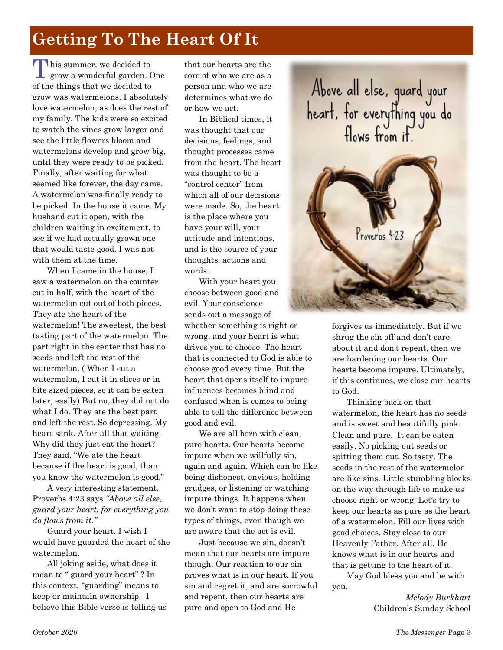# **Getting To The Heart Of It**

This summer, we decided to<br>
grow a wonderful garden. grow a wonderful garden. One of the things that we decided to grow was watermelons. I absolutely love watermelon, as does the rest of my family. The kids were so excited to watch the vines grow larger and see the little flowers bloom and watermelons develop and grow big, until they were ready to be picked. Finally, after waiting for what seemed like forever, the day came. A watermelon was finally ready to be picked. In the house it came. My husband cut it open, with the children waiting in excitement, to see if we had actually grown one that would taste good. I was not with them at the time.

When I came in the house, I saw a watermelon on the counter cut in half, with the heart of the watermelon cut out of both pieces. They ate the heart of the watermelon! The sweetest, the best tasting part of the watermelon. The part right in the center that has no seeds and left the rest of the watermelon. ( When I cut a watermelon, I cut it in slices or in bite sized pieces, so it can be eaten later, easily) But no, they did not do what I do. They ate the best part and left the rest. So depressing. My heart sank. After all that waiting. Why did they just eat the heart? They said, "We ate the heart because if the heart is good, than you know the watermelon is good."

 A very interesting statement. Proverbs 4:23 says *"Above all else, guard your heart, for everything you do flows from it."* 

Guard your heart. I wish I would have guarded the heart of the watermelon.

All joking aside, what does it mean to " guard your heart" ? In this context, "guarding" means to keep or maintain ownership. I believe this Bible verse is telling us

that our hearts are the core of who we are as a person and who we are determines what we do or how we act.

In Biblical times, it was thought that our decisions, feelings, and thought processes came from the heart. The heart was thought to be a "control center" from which all of our decisions were made. So, the heart is the place where you have your will, your attitude and intentions, and is the source of your thoughts, actions and words.

With your heart you choose between good and evil. Your conscience sends out a message of whether something is right or wrong, and your heart is what drives you to choose. The heart that is connected to God is able to choose good every time. But the heart that opens itself to impure influences becomes blind and confused when is comes to being able to tell the difference between good and evil.

We are all born with clean. pure hearts. Our hearts become impure when we willfully sin, again and again. Which can be like being dishonest, envious, holding grudges, or listening or watching impure things. It happens when we don't want to stop doing these types of things, even though we are aware that the act is evil.

Just because we sin, doesn't mean that our hearts are impure though. Our reaction to our sin proves what is in our heart. If you sin and regret it, and are sorrowful and repent, then our hearts are pure and open to God and He





forgives us immediately. But if we shrug the sin off and don't care about it and don't repent, then we are hardening our hearts. Our hearts become impure. Ultimately, if this continues, we close our hearts to God.

Thinking back on that watermelon, the heart has no seeds and is sweet and beautifully pink. Clean and pure. It can be eaten easily. No picking out seeds or spitting them out. So tasty. The seeds in the rest of the watermelon are like sins. Little stumbling blocks on the way through life to make us choose right or wrong. Let's try to keep our hearts as pure as the heart of a watermelon. Fill our lives with good choices. Stay close to our Heavenly Father. After all, He knows what is in our hearts and that is getting to the heart of it.

May God bless you and be with you.

> *Melody Burkhart* Children's Sunday School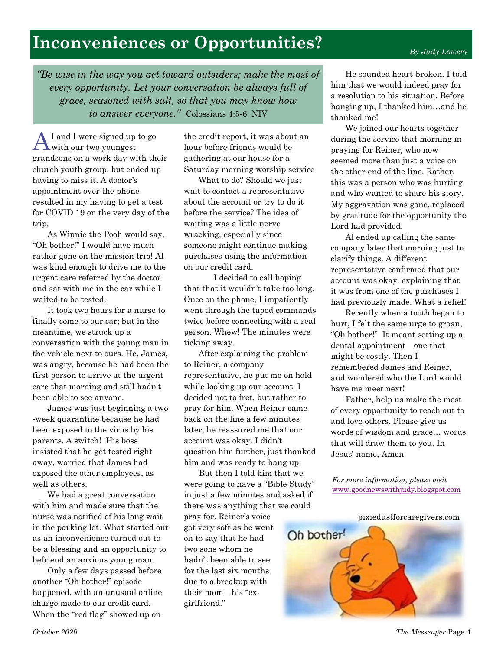# **Inconveniences or Opportunities?**

*By Judy Lowery*

*"Be wise in the way you act toward outsiders; make the most of every opportunity. Let your conversation be always full of grace, seasoned with salt, so that you may know how to answer everyone."* Colossians 4:5-6 NIV

A l and I were signed up to go with our two youngest grandsons on a work day with their church youth group, but ended up having to miss it. A doctor's appointment over the phone resulted in my having to get a test for COVID 19 on the very day of the trip.

As Winnie the Pooh would say, "Oh bother!" I would have much rather gone on the mission trip! Al was kind enough to drive me to the urgent care referred by the doctor and sat with me in the car while I waited to be tested.

It took two hours for a nurse to finally come to our car; but in the meantime, we struck up a conversation with the young man in the vehicle next to ours. He, James, was angry, because he had been the first person to arrive at the urgent care that morning and still hadn't been able to see anyone.

James was just beginning a two -week quarantine because he had been exposed to the virus by his parents. A switch! His boss insisted that he get tested right away, worried that James had exposed the other employees, as well as others.

We had a great conversation with him and made sure that the nurse was notified of his long wait in the parking lot. What started out as an inconvenience turned out to be a blessing and an opportunity to befriend an anxious young man.

Only a few days passed before another "Oh bother!" episode happened, with an unusual online charge made to our credit card. When the "red flag" showed up on

the credit report, it was about an hour before friends would be gathering at our house for a Saturday morning worship service

What to do? Should we just wait to contact a representative about the account or try to do it before the service? The idea of waiting was a little nerve wracking, especially since someone might continue making purchases using the information on our credit card.

I decided to call hoping that that it wouldn't take too long. Once on the phone, I impatiently went through the taped commands twice before connecting with a real person. Whew! The minutes were ticking away.

After explaining the problem to Reiner, a company representative, he put me on hold while looking up our account. I decided not to fret, but rather to pray for him. When Reiner came back on the line a few minutes later, he reassured me that our account was okay. I didn't question him further, just thanked him and was ready to hang up.

But then I told him that we were going to have a "Bible Study" in just a few minutes and asked if there was anything that we could

pray for. Reiner's voice got very soft as he went on to say that he had two sons whom he hadn't been able to see for the last six months due to a breakup with their mom—his "exgirlfriend."

He sounded heart-broken. I told him that we would indeed pray for a resolution to his situation. Before hanging up, I thanked him…and he thanked me!

We joined our hearts together during the service that morning in praying for Reiner, who now seemed more than just a voice on the other end of the line. Rather, this was a person who was hurting and who wanted to share his story. My aggravation was gone, replaced by gratitude for the opportunity the Lord had provided.

Al ended up calling the same company later that morning just to clarify things. A different representative confirmed that our account was okay, explaining that it was from one of the purchases I had previously made. What a relief!

Recently when a tooth began to hurt, I felt the same urge to groan, "Oh bother!" It meant setting up a dental appointment—one that might be costly. Then I remembered James and Reiner, and wondered who the Lord would have me meet next!

Father, help us make the most of every opportunity to reach out to and love others. Please give us words of wisdom and grace… words that will draw them to you. In Jesus' name, Amen.

*For more information, please visit*  [www.goodnewswithjudy.blogspot.com](http://www.goodnewswithjudy.blogspot.com/)



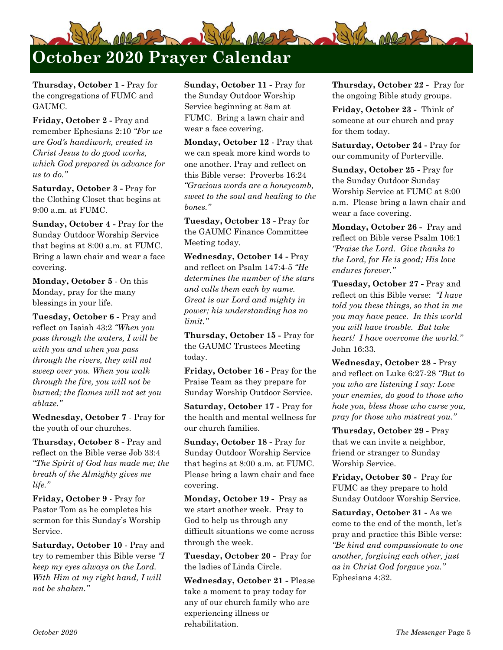

**Thursday, October 1 -** Pray for the congregations of FUMC and GAUMC.

**Friday, October 2 -** Pray and remember Ephesians 2:10 *"For we are God's handiwork, created in Christ Jesus to do good works, which God prepared in advance for us to do."*

**Saturday, October 3 -** Pray for the Clothing Closet that begins at 9:00 a.m. at FUMC.

**Sunday, October 4 -** Pray for the Sunday Outdoor Worship Service that begins at 8:00 a.m. at FUMC. Bring a lawn chair and wear a face covering.

**Monday, October 5** - On this Monday, pray for the many blessings in your life.

**Tuesday, October 6 -** Pray and reflect on Isaiah 43:2 *"When you pass through the waters, I will be with you and when you pass through the rivers, they will not sweep over you. When you walk through the fire, you will not be burned; the flames will not set you ablaze."*

**Wednesday, October 7** - Pray for the youth of our churches.

**Thursday, October 8 -** Pray and reflect on the Bible verse Job 33:4 *"The Spirit of God has made me; the breath of the Almighty gives me life."*

**Friday, October 9** - Pray for Pastor Tom as he completes his sermon for this Sunday's Worship Service.

**Saturday, October 10** - Pray and try to remember this Bible verse *"I keep my eyes always on the Lord. With Him at my right hand, I will not be shaken."*

**Sunday, October 11 -** Pray for the Sunday Outdoor Worship Service beginning at 8am at FUMC. Bring a lawn chair and wear a face covering.

**Monday, October 12** - Pray that we can speak more kind words to one another. Pray and reflect on this Bible verse: Proverbs 16:24 *"Gracious words are a honeycomb, sweet to the soul and healing to the bones."*

**Tuesday, October 13 -** Pray for the GAUMC Finance Committee Meeting today.

**Wednesday, October 14 -** Pray and reflect on Psalm 147:4-5 *"He determines the number of the stars and calls them each by name. Great is our Lord and mighty in power; his understanding has no limit."*

**Thursday, October 15 -** Pray for the GAUMC Trustees Meeting today.

**Friday, October 16 -** Pray for the Praise Team as they prepare for Sunday Worship Outdoor Service.

**Saturday, October 17 -** Pray for the health and mental wellness for our church families.

**Sunday, October 18 -** Pray for Sunday Outdoor Worship Service that begins at 8:00 a.m. at FUMC. Please bring a lawn chair and face covering.

**Monday, October 19 -** Pray as we start another week. Pray to God to help us through any difficult situations we come across through the week.

**Tuesday, October 20 -** Pray for the ladies of Linda Circle.

**Wednesday, October 21 -** Please take a moment to pray today for any of our church family who are experiencing illness or rehabilitation.

**Thursday, October 22 -** Pray for the ongoing Bible study groups.

**Friday, October 23 -** Think of someone at our church and pray for them today.

**Saturday, October 24 -** Pray for our community of Porterville.

**Sunday, October 25 -** Pray for the Sunday Outdoor Sunday Worship Service at FUMC at 8:00 a.m. Please bring a lawn chair and wear a face covering.

**Monday, October 26 -** Pray and reflect on Bible verse Psalm 106:1 *"Praise the Lord. Give thanks to the Lord, for He is good; His love endures forever."*

**Tuesday, October 27 -** Pray and reflect on this Bible verse: *"I have told you these things, so that in me you may have peace. In this world you will have trouble. But take heart! I have overcome the world."*  John 16:33.

**Wednesday, October 28 -** Pray and reflect on Luke 6:27-28 *"But to you who are listening I say: Love your enemies, do good to those who hate you, bless those who curse you, pray for those who mistreat you."*

**Thursday, October 29 -** Pray that we can invite a neighbor, friend or stranger to Sunday Worship Service.

**Friday, October 30 -** Pray for FUMC as they prepare to hold Sunday Outdoor Worship Service.

**Saturday, October 31 -** As we come to the end of the month, let's pray and practice this Bible verse: *"Be kind and compassionate to one another, forgiving each other, just as in Christ God forgave you."*  Ephesians 4:32.